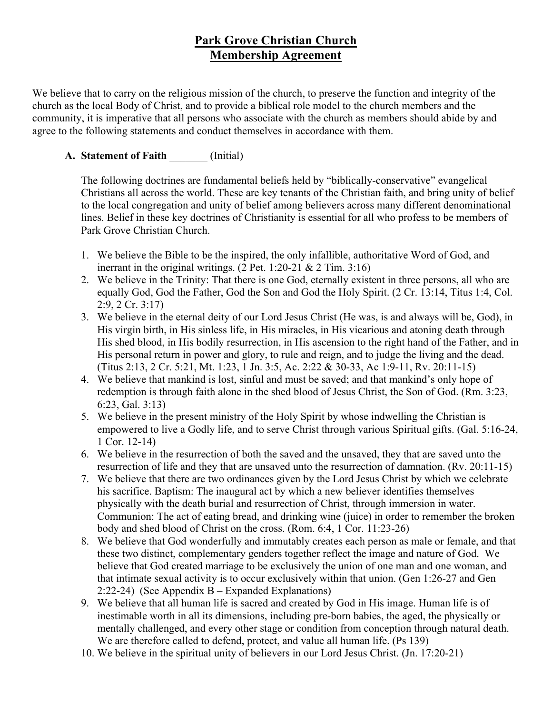# **Park Grove Christian Church Membership Agreement**

We believe that to carry on the religious mission of the church, to preserve the function and integrity of the church as the local Body of Christ, and to provide a biblical role model to the church members and the community, it is imperative that all persons who associate with the church as members should abide by and agree to the following statements and conduct themselves in accordance with them.

## **A. Statement of Faith** \_\_\_\_\_\_\_ (Initial)

The following doctrines are fundamental beliefs held by "biblically-conservative" evangelical Christians all across the world. These are key tenants of the Christian faith, and bring unity of belief to the local congregation and unity of belief among believers across many different denominational lines. Belief in these key doctrines of Christianity is essential for all who profess to be members of Park Grove Christian Church.

- 1. We believe the Bible to be the inspired, the only infallible, authoritative Word of God, and inerrant in the original writings.  $(2$  Pet. 1:20-21 & 2 Tim. 3:16)
- 2. We believe in the Trinity: That there is one God, eternally existent in three persons, all who are equally God, God the Father, God the Son and God the Holy Spirit. (2 Cr. 13:14, Titus 1:4, Col. 2:9, 2 Cr. 3:17)
- 3. We believe in the eternal deity of our Lord Jesus Christ (He was, is and always will be, God), in His virgin birth, in His sinless life, in His miracles, in His vicarious and atoning death through His shed blood, in His bodily resurrection, in His ascension to the right hand of the Father, and in His personal return in power and glory, to rule and reign, and to judge the living and the dead. (Titus 2:13, 2 Cr. 5:21, Mt. 1:23, 1 Jn. 3:5, Ac. 2:22 & 30-33, Ac 1:9-11, Rv. 20:11-15)
- 4. We believe that mankind is lost, sinful and must be saved; and that mankind's only hope of redemption is through faith alone in the shed blood of Jesus Christ, the Son of God. (Rm. 3:23, 6:23, Gal. 3:13)
- 5. We believe in the present ministry of the Holy Spirit by whose indwelling the Christian is empowered to live a Godly life, and to serve Christ through various Spiritual gifts. (Gal. 5:16-24, 1 Cor. 12-14)
- 6. We believe in the resurrection of both the saved and the unsaved, they that are saved unto the resurrection of life and they that are unsaved unto the resurrection of damnation. (Rv. 20:11-15)
- 7. We believe that there are two ordinances given by the Lord Jesus Christ by which we celebrate his sacrifice. Baptism: The inaugural act by which a new believer identifies themselves physically with the death burial and resurrection of Christ, through immersion in water. Communion: The act of eating bread, and drinking wine (juice) in order to remember the broken body and shed blood of Christ on the cross. (Rom. 6:4, 1 Cor. 11:23-26)
- 8. We believe that God wonderfully and immutably creates each person as male or female, and that these two distinct, complementary genders together reflect the image and nature of God. We believe that God created marriage to be exclusively the union of one man and one woman, and that intimate sexual activity is to occur exclusively within that union. (Gen 1:26-27 and Gen 2:22-24) (See Appendix B – Expanded Explanations)
- 9. We believe that all human life is sacred and created by God in His image. Human life is of inestimable worth in all its dimensions, including pre-born babies, the aged, the physically or mentally challenged, and every other stage or condition from conception through natural death. We are therefore called to defend, protect, and value all human life. (Ps 139)
- 10. We believe in the spiritual unity of believers in our Lord Jesus Christ. (Jn. 17:20-21)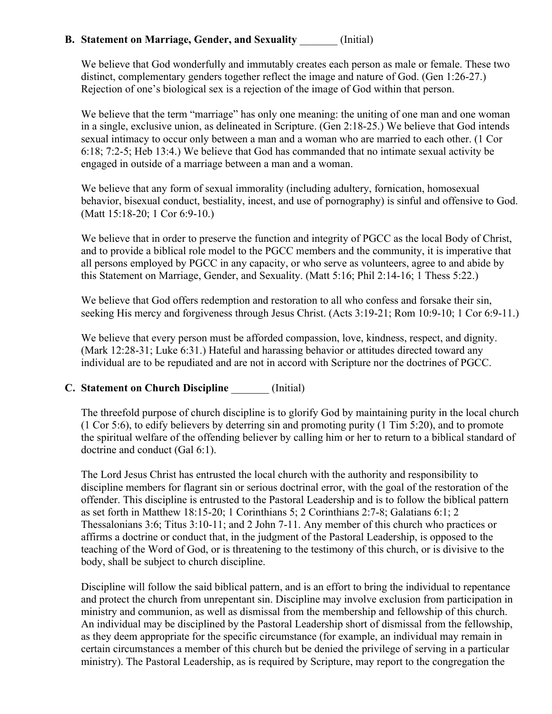## **B.** Statement on Marriage, Gender, and Sexuality (Initial)

We believe that God wonderfully and immutably creates each person as male or female. These two distinct, complementary genders together reflect the image and nature of God. (Gen 1:26-27.) Rejection of one's biological sex is a rejection of the image of God within that person.

We believe that the term "marriage" has only one meaning: the uniting of one man and one woman in a single, exclusive union, as delineated in Scripture. (Gen 2:18-25.) We believe that God intends sexual intimacy to occur only between a man and a woman who are married to each other. (1 Cor 6:18; 7:2-5; Heb 13:4.) We believe that God has commanded that no intimate sexual activity be engaged in outside of a marriage between a man and a woman.

We believe that any form of sexual immorality (including adultery, fornication, homosexual behavior, bisexual conduct, bestiality, incest, and use of pornography) is sinful and offensive to God. (Matt 15:18-20; 1 Cor 6:9-10.)

We believe that in order to preserve the function and integrity of PGCC as the local Body of Christ, and to provide a biblical role model to the PGCC members and the community, it is imperative that all persons employed by PGCC in any capacity, or who serve as volunteers, agree to and abide by this Statement on Marriage, Gender, and Sexuality. (Matt 5:16; Phil 2:14-16; 1 Thess 5:22.)

We believe that God offers redemption and restoration to all who confess and forsake their sin, seeking His mercy and forgiveness through Jesus Christ. (Acts 3:19-21; Rom 10:9-10; 1 Cor 6:9-11.)

We believe that every person must be afforded compassion, love, kindness, respect, and dignity. (Mark 12:28-31; Luke 6:31.) Hateful and harassing behavior or attitudes directed toward any individual are to be repudiated and are not in accord with Scripture nor the doctrines of PGCC.

#### **C. Statement on Church Discipline** \_\_\_\_\_\_\_ (Initial)

The threefold purpose of church discipline is to glorify God by maintaining purity in the local church (1 Cor 5:6), to edify believers by deterring sin and promoting purity (1 Tim 5:20), and to promote the spiritual welfare of the offending believer by calling him or her to return to a biblical standard of doctrine and conduct (Gal 6:1).

The Lord Jesus Christ has entrusted the local church with the authority and responsibility to discipline members for flagrant sin or serious doctrinal error, with the goal of the restoration of the offender. This discipline is entrusted to the Pastoral Leadership and is to follow the biblical pattern as set forth in Matthew 18:15-20; 1 Corinthians 5; 2 Corinthians 2:7-8; Galatians 6:1; 2 Thessalonians 3:6; Titus 3:10-11; and 2 John 7-11. Any member of this church who practices or affirms a doctrine or conduct that, in the judgment of the Pastoral Leadership, is opposed to the teaching of the Word of God, or is threatening to the testimony of this church, or is divisive to the body, shall be subject to church discipline.

Discipline will follow the said biblical pattern, and is an effort to bring the individual to repentance and protect the church from unrepentant sin. Discipline may involve exclusion from participation in ministry and communion, as well as dismissal from the membership and fellowship of this church. An individual may be disciplined by the Pastoral Leadership short of dismissal from the fellowship, as they deem appropriate for the specific circumstance (for example, an individual may remain in certain circumstances a member of this church but be denied the privilege of serving in a particular ministry). The Pastoral Leadership, as is required by Scripture, may report to the congregation the